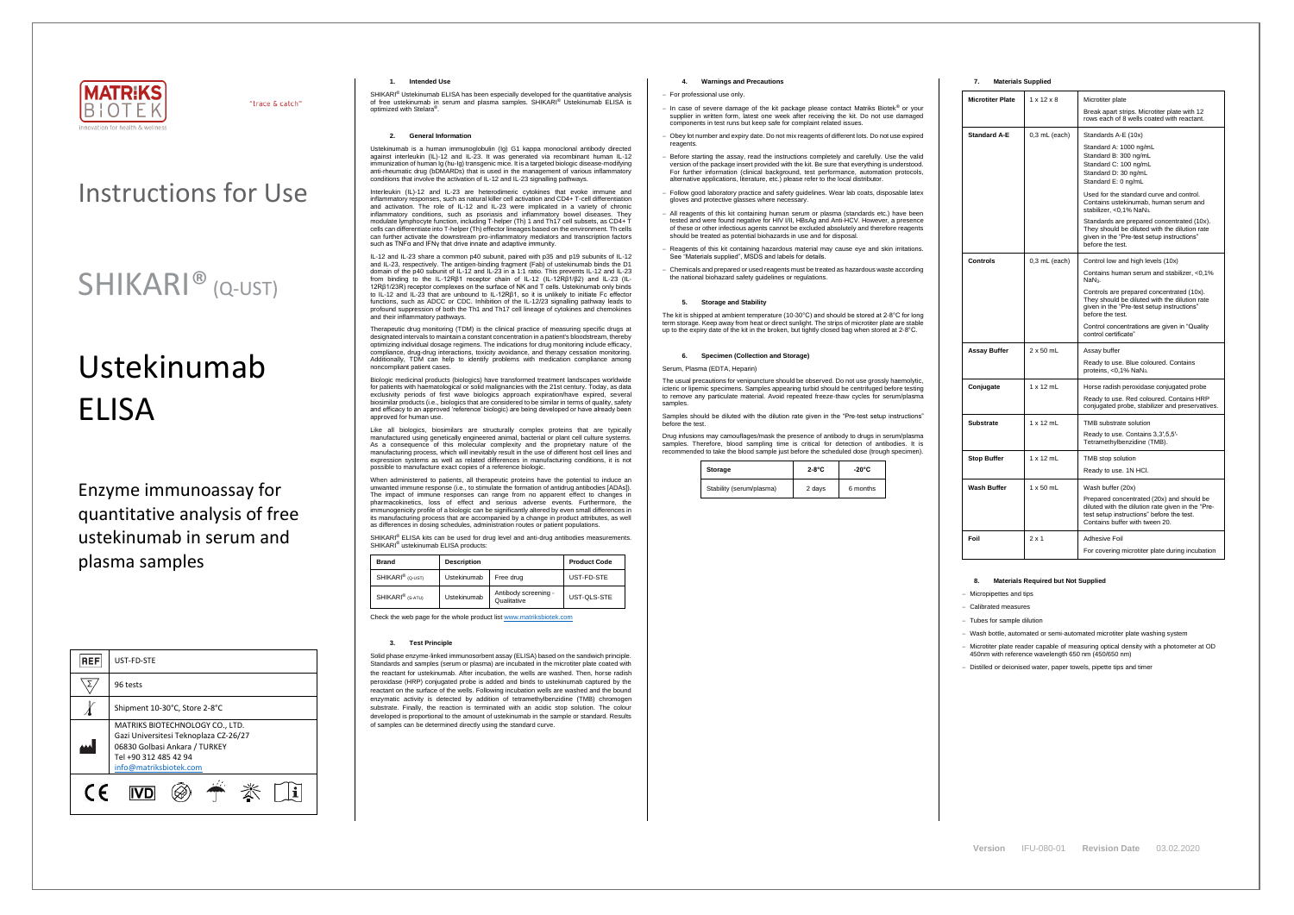

"trace & catch"

# Ustekinumab **FLISA**

### Instructions for Use

## SHIKARI® (Q-UST)

Enzyme immunoassay for quantitative analysis of free ustekinumab in serum and plasma samples

| <b>REF</b> | UST-FD-STE                                                                                                                                                   |  |  |
|------------|--------------------------------------------------------------------------------------------------------------------------------------------------------------|--|--|
|            | 96 tests                                                                                                                                                     |  |  |
|            | Shipment 10-30°C, Store 2-8°C                                                                                                                                |  |  |
|            | MATRIKS BIOTECHNOLOGY CO., LTD.<br>Gazi Universitesi Teknoplaza CZ-26/27<br>06830 Golbasi Ankara / TURKEY<br>Tel +90 312 485 42 94<br>info@matriksbiotek.com |  |  |
| $\epsilon$ |                                                                                                                                                              |  |  |

SHIKARI<sup>®</sup> Ustekinumab ELISA has been especially developed for the quantitative analysis of free ustekinumab in serum and plasma samples. SHIKARI® Ustekinumab ELISA is optimized with Stelara® .

#### **1. Intended Use**

#### **2. General Information**

Ustekinumab is a human immunoglobulin (Ig) G1 kappa monoclonal antibody directed against interleukin (IL)-12 and IL-23. It was generated via recombinant human IL-12 immunization of human Ig (hu-Ig) transgenic mice. It is a targeted biologic disease-modifying anti-rheumatic drug (bDMARDs) that is used in the management of various inflammatory conditions that involve the activation of IL-12 and IL-23 signalling pathways.

Interleukin (IL)-12 and IL-23 are heterodimeric cytokines that evoke immune and inflammatory responses, such as natural killer cell activation and CD4+ T-cell differentiation and activation. The role of IL-12 and IL-23 were implicated in a variety of chronic inflammatory conditions, such as psoriasis and inflammatory bowel diseases. They modulate lymphocyte function, including T-helper (Th) 1 and Th17 cell subsets, as CD4+ T cells can differentiate into T-helper (Th) effector lineages based on the environment. Th cells can further activate the downstream pro-inflammatory mediators and transcription factors such as TNFα and IFNγ that drive innate and adaptive immunity.

Biologic medicinal products (biologics) have transformed treatment landscapes worldwide for patients with haematological or solid malignancies with the 21st century. Today, as data exclusivity periods of first wave biologics approach expiration/have expired, several biosimilar products (i.e., biologics that are considered to be similar in terms of quality, safety and efficacy to an approved 'reference' biologic) are being developed or have already been roved for human use

IL-12 and IL-23 share a common p40 subunit, paired with p35 and p19 subunits of IL-12 and IL-23, respectively. The antigen-binding fragment (Fab) of ustekinumab binds the D1 domain of the p40 subunit of IL-12 and IL-23 in a 1:1 ratio. This prevents IL-12 and IL-23 from binding to the IL-12Rβ1 receptor chain of IL-12 (IL-12Rβ1/β2) and IL-23 (IL-12Rβ1/23R) receptor complexes on the surface of NK and T cells. Ustekinumab only binds to IL-12 and IL-23 that are unbound to IL-12RB1, so it is unlikely to initiate Fc effector functions, such as ADCC or CDC. Inhibition of the IL-12/23 signalling pathway leads to profound suppression of both the Th1 and Th17 cell lineage of cytokines and chemokines and their inflammatory pathways.

When administered to patients, all therapeutic proteins have the potential to induce an unwanted immune response (i.e., to stimulate the formation of antidrug antibodies [ADAs]). The impact of immune responses can range from no apparent effect to changes in pharmacokinetics, loss of effect and serious adverse events. Furthermore, the immunogenicity profile of a biologic can be significantly altered by even small differences in its manufacturing process that are accompanied by a change in product attributes, as well as differences in dosing schedules, administration routes or patient populations.

Therapeutic drug monitoring (TDM) is the clinical practice of measuring specific drugs at designated intervals to maintain a constant concentration in a patient's bloodstream, thereby optimizing individual dosage regimens. The indications for drug monitoring include efficacy, compliance, drug-drug interactions, toxicity avoidance, and therapy cessation monitoring. Additionally, TDM can help to identify problems with medication compliance among noncompliant patient cases.

Like all biologics, biosimilars are structurally complex proteins that are typically manufactured using genetically engineered animal, bacterial or plant cell culture systems. As a consequence of this molecular complexity and the proprietary nature of the manufacturing process, which will inevitably result in the use of different host cell lines and expression systems as well as related differences in manufacturing conditions, it is not possible to manufacture exact copies of a reference biologic.

The usual precautions for venipuncture should be observed. Do not use grossly haemolytic, icteric or lipemic specimens. Samples appearing turbid should be centrifuged before testing to remove any particulate material. Avoid repeated freeze-thaw cycles for serum/plasma samples

SHIKARI® ELISA kits can be used for drug level and anti-drug antibodies measurements. SHIKARI® ustekinumab ELISA products:

| <b>Brand</b>                 | <b>Description</b> |                                     | <b>Product Code</b> |
|------------------------------|--------------------|-------------------------------------|---------------------|
| SHIKARI <sup>®</sup> (Q-UST) | Ustekinumab        | Free drug                           | UST-FD-STE          |
| SHIKARI <sup>®</sup> (S-ATU) | Ustekinumab        | Antibody screening -<br>Qualitative | UST-QLS-STE         |

Check the web page for the whole product lis[t www.matriksbiotek.com](http://www.matriksbiotek.com/)

#### **3. Test Principle**

Solid phase enzyme-linked immunosorbent assay (ELISA) based on the sandwich principle. Standards and samples (serum or plasma) are incubated in the microtiter plate coated with the reactant for ustekinumab. After incubation, the wells are washed. Then, horse radish peroxidase (HRP) conjugated probe is added and binds to ustekinumab captured by the reactant on the surface of the wells. Following incubation wells are washed and the bound enzymatic activity is detected by addition of tetramethylbenzidine (TMB) chromogen substrate. Finally, the reaction is terminated with an acidic stop solution. The colour developed is proportional to the amount of ustekinumab in the sample or standard. Results of samples can be determined directly using the standard curve.

#### **4. Warnings and Precautions**

#### − For professional use only.

- − In case of severe damage of the kit package please contact Matriks Biotek® or your supplier in written form, latest one week after receiving the kit. Do not use damaged components in test runs but keep safe for complaint related issues.
- Obey lot number and expiry date. Do not mix reagents of different lots. Do not use expired reagents
- − Before starting the assay, read the instructions completely and carefully. Use the valid version of the package insert provided with the kit. Be sure that everything is understood. For further information (clinical background, test performance, automation protocols, alternative applications, literature, etc.) please refer to the local distributor.
- Follow good laboratory practice and safety guidelines. Wear lab coats, disposable latex gloves and protective glasses where necessary.
- − All reagents of this kit containing human serum or plasma (standards etc.) have been tested and were found negative for HIV I/II, HBsAg and Anti-HCV. However, a presence of these or other infectious agents cannot be excluded absolutely and therefore reagents should be treated as potential biohazards in use and for disposal.
- − Reagents of this kit containing hazardous material may cause eye and skin irritations. See "Materials supplied", MSDS and labels for details.
- − Chemicals and prepared or used reagents must be treated as hazardous waste according the national biohazard safety guidelines or regulations.

#### **5. Storage and Stability**

The kit is shipped at ambient temperature (10-30°C) and should be stored at 2-8°C for long term storage. Keep away from heat or direct sunlight. The strips of microtiter plate are stable up to the expiry date of the kit in the broken, but tightly closed bag when stored at 2-8°C.

#### **6. Specimen (Collection and Storage)**

Serum, Plasma (EDTA, Heparin)

Samples should be diluted with the dilution rate given in the "Pre-test setup instructions" before the test.

Drug infusions may camouflages/mask the presence of antibody to drugs in serum/plasma samples. Therefore, blood sampling time is critical for detection of antibodies. It is recommended to take the blood sample just before the scheduled dose (trough specimen).

| Storage                  | $2-8$ °C | $-20^{\circ}$ C |
|--------------------------|----------|-----------------|
| Stability (serum/plasma) | 2 days   | 6 months        |

#### **7. Materials Supplied**

| <b>Microtiter Plate</b> | $1 \times 12 \times 8$ | Microtiter plate                                                                                                                                                              |
|-------------------------|------------------------|-------------------------------------------------------------------------------------------------------------------------------------------------------------------------------|
|                         |                        | Break apart strips. Microtiter plate with 12<br>rows each of 8 wells coated with reactant.                                                                                    |
| <b>Standard A-E</b>     | $0,3$ mL (each)        | Standards A-E (10x)                                                                                                                                                           |
|                         |                        | Standard A: 1000 ng/mL<br>Standard B: 300 ng/mL<br>Standard C: 100 ng/mL<br>Standard D: 30 ng/mL<br>Standard E: 0 ng/mL                                                       |
|                         |                        | Used for the standard curve and control.<br>Contains ustekinumab, human serum and<br>stabilizer, <0,1% NaN <sub>3</sub> .                                                     |
|                         |                        | Standards are prepared concentrated (10x).<br>They should be diluted with the dilution rate<br>given in the "Pre-test setup instructions"<br>before the test.                 |
| Controls                | $0,3$ mL (each)        | Control low and high levels (10x)                                                                                                                                             |
|                         |                        | Contains human serum and stabilizer, <0,1%<br>NaN <sub>3</sub> .                                                                                                              |
|                         |                        | Controls are prepared concentrated (10x).<br>They should be diluted with the dilution rate<br>given in the "Pre-test setup instructions"<br>before the test.                  |
|                         |                        | Control concentrations are given in "Quality<br>control certificate"                                                                                                          |
| Assay Buffer            | $2 \times 50$ mL       | Assay buffer                                                                                                                                                                  |
|                         |                        | Ready to use. Blue coloured. Contains<br>proteins, <0,1% NaN <sub>3</sub> .                                                                                                   |
| Conjugate               | $1 \times 12$ mL       | Horse radish peroxidase conjugated probe                                                                                                                                      |
|                         |                        | Ready to use. Red coloured. Contains HRP<br>conjugated probe, stabilizer and preservatives.                                                                                   |
| Substrate               | $1 \times 12$ mL       | TMB substrate solution                                                                                                                                                        |
|                         |                        | Ready to use. Contains 3,3',5,5'-<br>Tetramethylbenzidine (TMB).                                                                                                              |
| <b>Stop Buffer</b>      | $1 \times 12$ mL       | TMB stop solution                                                                                                                                                             |
|                         |                        | Ready to use. 1N HCI.                                                                                                                                                         |
| Wash Buffer             | $1 \times 50$ mL       | Wash buffer (20x)                                                                                                                                                             |
|                         |                        | Prepared concentrated (20x) and should be<br>diluted with the dilution rate given in the "Pre-<br>test setup instructions" before the test.<br>Contains buffer with tween 20. |
| Foil                    | $2 \times 1$           | Adhesive Foil                                                                                                                                                                 |
|                         |                        | For covering microtiter plate during incubation                                                                                                                               |

#### **8. Materials Required but Not Supplied**

− Micropipettes and tips

− Calibrated measures

− Tubes for sample dilution

− Wash bottle, automated or semi-automated microtiter plate washing system

− Microtiter plate reader capable of measuring optical density with a photometer at OD 450nm with reference wavelength 650 nm (450/650 nm)

− Distilled or deionised water, paper towels, pipette tips and timer